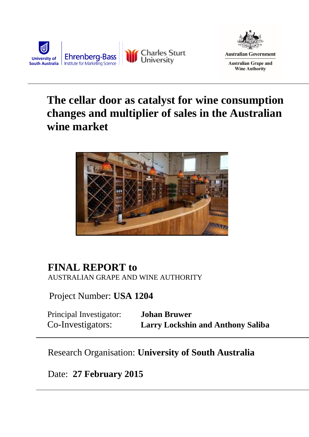



# **The cellar door as catalyst for wine consumption changes and multiplier of sales in the Australian wine market**



# **FINAL REPORT to** AUSTRALIAN GRAPE AND WINE AUTHORITY

Project Number: **USA 1204** 

Principal Investigator: **Johan Bruwer** Co-Investigators: **Larry Lockshin and Anthony Saliba**

# Research Organisation: **University of South Australia**

# Date: **27 February 2015**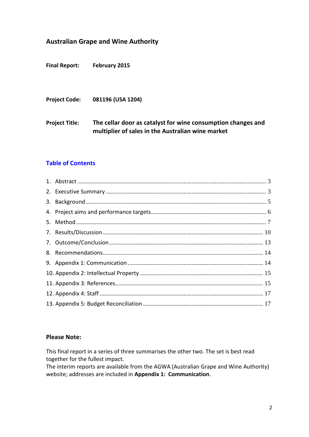# **Australian Grape and Wine Authority**

**Final Report: February 2015**

**Project Code: 081196 (USA 1204)**

**Project Title: The cellar door as catalyst for wine consumption changes and multiplier of sales in the Australian wine market**

# **Table of Contents**

#### **Please Note:**

This final report in a series of three summarises the other two. The set is best read together for the fullest impact.

The interim reports are available from the AGWA (Australian Grape and Wine Authority) website; addresses are included in **[Appendix 1: Communication](#page-14-0)**.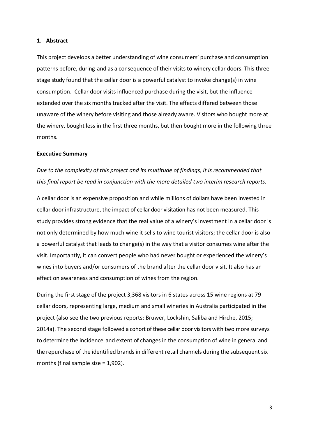#### **1. Abstract**

This project develops a better understanding of wine consumers' purchase and consumption patterns before, during and as a consequence of their visits to winery cellar doors. This threestage study found that the cellar door is a powerful catalyst to invoke change(s) in wine consumption. Cellar door visits influenced purchase during the visit, but the influence extended over the six months tracked after the visit. The effects differed between those unaware of the winery before visiting and those already aware. Visitors who bought more at the winery, bought less in the first three months, but then bought more in the following three months.

#### **Executive Summary**

*Due to the complexity of this project and its multitude of findings, it is recommended that this final report be read in conjunction with the more detailed two interim research reports.* 

A cellar door is an expensive proposition and while millions of dollars have been invested in cellar door infrastructure, the impact of cellar door visitation has not been measured. This study provides strong evidence that the real value of a winery's investment in a cellar door is not only determined by how much wine it sells to wine tourist visitors; the cellar door is also a powerful catalyst that leads to change(s) in the way that a visitor consumes wine after the visit. Importantly, it can convert people who had never bought or experienced the winery's wines into buyers and/or consumers of the brand after the cellar door visit. It also has an effect on awareness and consumption of wines from the region.

During the first stage of the project 3,368 visitors in 6 states across 15 wine regions at 79 cellar doors, representing large, medium and small wineries in Australia participated in the project (also see the two previous reports: Bruwer, Lockshin, Saliba and Hirche, 2015; 2014a). The second stage followed a cohort of these cellar door visitors with two more surveys to determine the incidence and extent of changes in the consumption of wine in general and the repurchase of the identified brands in different retail channels during the subsequent six months (final sample size = 1,902).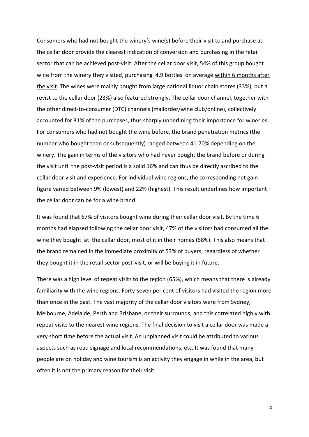Consumers who had not bought the winery's wine(s) before their visit to and purchase at the cellar door provide the clearest indication of conversion and purchasing in the retail sector that can be achieved post-visit. After the cellar door visit, 54% of this group bought wine from the winery they visited, purchasing 4.9 bottles on average within 6 months after the visit. The wines were mainly bought from large national liquor chain stores (33%), but a revist to the cellar door (23%) also featured strongly. The cellar door channel, together with the other direct-to-consumer (DTC) channels (mailorder/wine club/online), collectively accounted for 31% of the purchases, thus sharply underlining their importance for wineries. For consumers who had not bought the wine before, the brand penetration metrics (the number who bought then or subsequently) ranged between 41-70% depending on the winery. The gain in terms of the visitors who had never bought the brand before or during the visit until the post-visit period is a solid 16% and can thus be directly ascribed to the cellar door visit and experience. For individual wine regions, the corresponding net gain figure varied between 9% (lowest) and 22% (highest). This result underlines how important the cellar door can be for a wine brand.

It was found that 67% of visitors bought wine during their cellar door visit. By the time 6 months had elapsed following the cellar door visit, 47% of the visitors had consumed all the wine they bought at the cellar door, most of it in their homes (68%). This also means that the brand remained in the immediate proximity of 53% of buyers, regardless of whether they bought it in the retail sector post-visit, or will be buying it in future.

There was a high level of repeat visits to the region (65%), which means that there is already familiarity with the wine regions. Forty-seven per cent of visitors had visited the region more than once in the past. The vast majority of the cellar door visitors were from Sydney, Melbourne, Adelaide, Perth and Brisbane, or their surrounds, and this correlated highly with repeat visits to the nearest wine regions. The final decision to visit a cellar door was made a very short time before the actual visit. An unplanned visit could be attributed to various aspects such as road signage and local recommendations, etc. It was found that many people are on holiday and wine tourism is an activity they engage in while in the area, but often it is not the primary reason for their visit.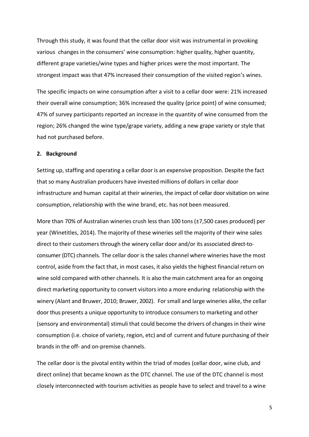Through this study, it was found that the cellar door visit was instrumental in provoking various changes in the consumers' wine consumption: higher quality, higher quantity, different grape varieties/wine types and higher prices were the most important. The strongest impact was that 47% increased their consumption of the visited region's wines.

The specific impacts on wine consumption after a visit to a cellar door were: 21% increased their overall wine consumption; 36% increased the quality (price point) of wine consumed; 47% of survey participants reported an increase in the quantity of wine consumed from the region; 26% changed the wine type/grape variety, adding a new grape variety or style that had not purchased before.

#### **2. Background**

Setting up, staffing and operating a cellar door is an expensive proposition. Despite the fact that so many Australian producers have invested millions of dollars in cellar door infrastructure and human capital at their wineries, the impact of cellar door visitation on wine consumption, relationship with the wine brand, etc. has not been measured.

More than 70% of Australian wineries crush less than 100 tons (±7,500 cases produced) per year (Winetitles, 2014). The majority of these wineries sell the majority of their wine sales direct to their customers through the winery cellar door and/or its associated direct-toconsumer (DTC) channels. The cellar door is the sales channel where wineries have the most control, aside from the fact that, in most cases, it also yields the highest financial return on wine sold compared with other channels. It is also the main catchment area for an ongoing direct marketing opportunity to convert visitors into a more enduring relationship with the winery (Alant and Bruwer, 2010; Bruwer, 2002). For small and large wineries alike, the cellar door thus presents a unique opportunity to introduce consumersto marketing and other (sensory and environmental) stimuli that could become the drivers of changes in their wine consumption (i.e. choice of variety, region, etc) and of current and future purchasing of their brands in the off- and on-premise channels.

The cellar door is the pivotal entity within the triad of modes (cellar door, wine club, and direct online) that became known as the DTC channel. The use of the DTC channel is most closely interconnected with tourism activities as people have to select and travel to a wine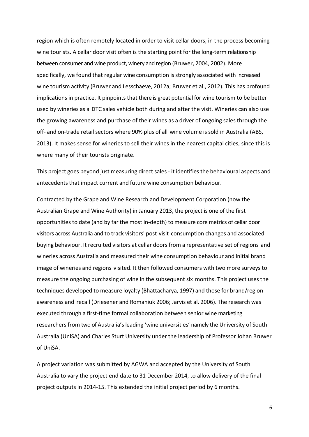region which is often remotely located in order to visit cellar doors, in the process becoming wine tourists. A cellar door visit often is the starting point for the long-term relationship between consumer and wine product, winery and region (Bruwer, 2004, 2002). More specifically, we found that regular wine consumption is strongly associated with increased wine tourism activity (Bruwer and Lesschaeve, 2012a; Bruwer et al., 2012). This has profound implications in practice. It pinpoints that there is great potential for wine tourism to be better used by wineries as a DTC sales vehicle both during and after the visit. Wineries can also use the growing awareness and purchase of their wines as a driver of ongoing sales through the off- and on-trade retail sectors where 90% plus of all wine volume is sold in Australia (ABS, 2013). It makes sense for wineries to sell their wines in the nearest capital cities, since this is where many of their tourists originate.

This project goes beyond just measuring direct sales - it identifies the behavioural aspects and antecedents that impact current and future wine consumption behaviour.

Contracted by the Grape and Wine Research and Development Corporation (now the Australian Grape and Wine Authority) in January 2013, the project is one of the first opportunities to date (and by far the most in-depth) to measure core metrics of cellar door visitors across Australia and to track visitors' post-visit consumption changes and associated buying behaviour. It recruited visitors at cellar doors from a representative set of regions and wineries across Australia and measured their wine consumption behaviour and initial brand image of wineries and regions visited. It then followed consumers with two more surveys to measure the ongoing purchasing of wine in the subsequent six months. This project uses the techniques developed to measure loyalty (Bhattacharya, 1997) and those for brand/region awareness and recall (Driesener and Romaniuk 2006; Jarvis et al. 2006). The research was executed through a first-time formal collaboration between senior wine marketing researchers from two of Australia's leading 'wine universities' namely the University of South Australia (UniSA) and Charles Sturt University under the leadership of Professor Johan Bruwer of UniSA.

A project variation was submitted by AGWA and accepted by the University of South Australia to vary the project end date to 31 December 2014, to allow delivery of the final project outputs in 2014-15. This extended the initial project period by 6 months.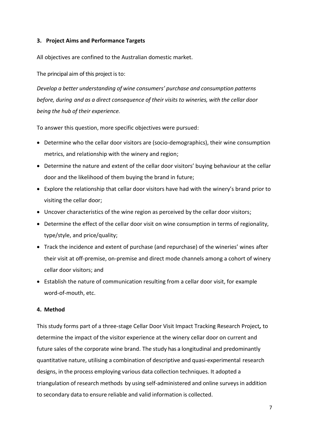#### **3. Project Aims and Performance Targets**

All objectives are confined to the Australian domestic market.

The principal aim of this project is to:

*Develop a better understanding of wine consumers' purchase and consumption patterns before, during and as a direct consequence of their visits to wineries, with the cellar door being the hub of their experience.*

To answer this question, more specific objectives were pursued:

- Determine who the cellar door visitors are (socio-demographics), their wine consumption metrics, and relationship with the winery and region;
- Determine the nature and extent of the cellar door visitors' buying behaviour at the cellar door and the likelihood of them buying the brand in future;
- Explore the relationship that cellar door visitors have had with the winery's brand prior to visiting the cellar door;
- Uncover characteristics of the wine region as perceived by the cellar door visitors;
- Determine the effect of the cellar door visit on wine consumption in terms of regionality, type/style, and price/quality;
- Track the incidence and extent of purchase (and repurchase) of the wineries' wines after their visit at off-premise, on-premise and direct mode channels among a cohort of winery cellar door visitors; and
- Establish the nature of communication resulting from a cellar door visit, for example word-of-mouth, etc.

## **4. Method**

This study forms part of a three-stage Cellar Door Visit Impact Tracking Research Project*,* to determine the impact of the visitor experience at the winery cellar door on current and future sales of the corporate wine brand. The study has a longitudinal and predominantly quantitative nature, utilising a combination of descriptive and quasi-experimental research designs, in the process employing various data collection techniques. It adopted a triangulation of research methods by using self-administered and online surveys in addition to secondary data to ensure reliable and valid information is collected.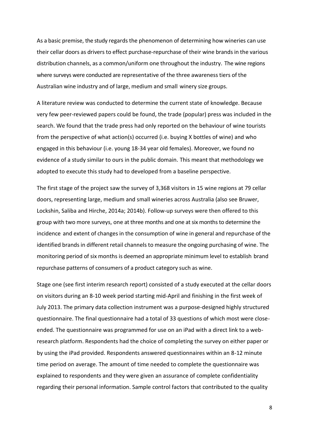As a basic premise, the study regards the phenomenon of determining how wineries can use their cellar doors as drivers to effect purchase-repurchase of their wine brandsin the various distribution channels, as a common/uniform one throughout the industry. The wine regions where surveys were conducted are representative of the three awareness tiers of the Australian wine industry and of large, medium and small winery size groups.

A literature review was conducted to determine the current state of knowledge. Because very few peer-reviewed papers could be found, the trade (popular) press was included in the search. We found that the trade press had only reported on the behaviour of wine tourists from the perspective of what action(s) occurred (i.e. buying X bottles of wine) and who engaged in this behaviour (i.e. young 18-34 year old females). Moreover, we found no evidence of a study similar to ours in the public domain. This meant that methodology we adopted to execute this study had to developed from a baseline perspective.

The first stage of the project saw the survey of 3,368 visitors in 15 wine regions at 79 cellar doors, representing large, medium and small wineries across Australia (also see Bruwer, Lockshin, Saliba and Hirche, 2014a; 2014b). Follow-up surveys were then offered to this group with two more surveys, one at three months and one at six monthsto determine the incidence and extent of changes in the consumption of wine in general and repurchase of the identified brands in different retail channels to measure the ongoing purchasing of wine. The monitoring period of six months is deemed an appropriate minimum level to establish brand repurchase patterns of consumers of a product category such as wine.

Stage one (see first interim research report) consisted of a study executed at the cellar doors on visitors during an 8-10 week period starting mid-April and finishing in the first week of July 2013. The primary data collection instrument was a purpose-designed highly structured questionnaire. The final questionnaire had a total of 33 questions of which most were closeended. The questionnaire was programmed for use on an iPad with a direct link to a webresearch platform. Respondents had the choice of completing the survey on either paper or by using the iPad provided. Respondents answered questionnaires within an 8-12 minute time period on average. The amount of time needed to complete the questionnaire was explained to respondents and they were given an assurance of complete confidentiality regarding their personal information. Sample control factors that contributed to the quality

8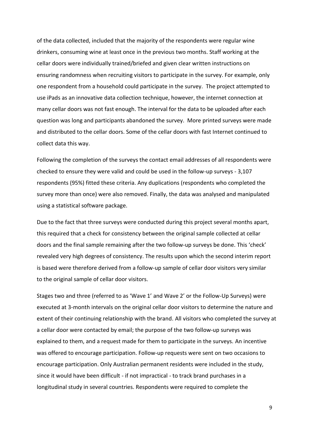of the data collected, included that the majority of the respondents were regular wine drinkers, consuming wine at least once in the previous two months. Staff working at the cellar doors were individually trained/briefed and given clear written instructions on ensuring randomness when recruiting visitors to participate in the survey. For example, only one respondent from a household could participate in the survey. The project attempted to use iPads as an innovative data collection technique, however, the internet connection at many cellar doors was not fast enough. The interval for the data to be uploaded after each question was long and participants abandoned the survey. More printed surveys were made and distributed to the cellar doors. Some of the cellar doors with fast Internet continued to collect data this way.

Following the completion of the surveys the contact email addresses of all respondents were checked to ensure they were valid and could be used in the follow-up surveys - 3,107 respondents (95%) fitted these criteria. Any duplications (respondents who completed the survey more than once) were also removed. Finally, the data was analysed and manipulated using a statistical software package.

Due to the fact that three surveys were conducted during this project several months apart, this required that a check for consistency between the original sample collected at cellar doors and the final sample remaining after the two follow-up surveys be done. This 'check' revealed very high degrees of consistency. The results upon which the second interim report is based were therefore derived from a follow-up sample of cellar door visitors very similar to the original sample of cellar door visitors.

Stages two and three (referred to as 'Wave 1' and Wave 2' or the Follow-Up Surveys) were executed at 3-month intervals on the original cellar door visitors to determine the nature and extent of their continuing relationship with the brand. All visitors who completed the survey at a cellar door were contacted by email; the purpose of the two follow-up surveys was explained to them, and a request made for them to participate in the surveys. An incentive was offered to encourage participation. Follow-up requests were sent on two occasions to encourage participation. Only Australian permanent residents were included in the study, since it would have been difficult - if not impractical - to track brand purchases in a longitudinal study in several countries. Respondents were required to complete the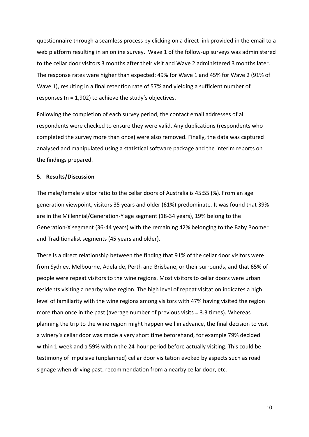questionnaire through a seamless process by clicking on a direct link provided in the email to a web platform resulting in an online survey. Wave 1 of the follow-up surveys was administered to the cellar door visitors 3 months after their visit and Wave 2 administered 3 months later. The response rates were higher than expected: 49% for Wave 1 and 45% for Wave 2 (91% of Wave 1), resulting in a final retention rate of 57% and yielding a sufficient number of responses (n = 1,902) to achieve the study's objectives.

Following the completion of each survey period, the contact email addresses of all respondents were checked to ensure they were valid. Any duplications (respondents who completed the survey more than once) were also removed. Finally, the data was captured analysed and manipulated using a statistical software package and the interim reports on the findings prepared.

#### **5. Results/Discussion**

The male/female visitor ratio to the cellar doors of Australia is 45:55 (%). From an age generation viewpoint, visitors 35 years and older (61%) predominate. It was found that 39% are in the Millennial/Generation-Y age segment (18-34 years), 19% belong to the Generation-X segment (36-44 years) with the remaining 42% belonging to the Baby Boomer and Traditionalist segments (45 years and older).

There is a direct relationship between the finding that 91% of the cellar door visitors were from Sydney, Melbourne, Adelaide, Perth and Brisbane, or their surrounds, and that 65% of people were repeat visitors to the wine regions. Most visitors to cellar doors were urban residents visiting a nearby wine region. The high level of repeat visitation indicates a high level of familiarity with the wine regions among visitors with 47% having visited the region more than once in the past (average number of previous visits = 3.3 times). Whereas planning the trip to the wine region might happen well in advance, the final decision to visit a winery's cellar door was made a very short time beforehand, for example 79% decided within 1 week and a 59% within the 24-hour period before actually visiting. This could be testimony of impulsive (unplanned) cellar door visitation evoked by aspects such as road signage when driving past, recommendation from a nearby cellar door, etc.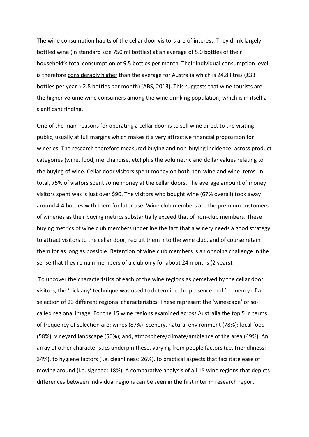The wine consumption habits of the cellar door visitors are of interest. They drink largely bottled wine (in standard size 750 ml bottles) at an average of 5.0 bottles of their household's total consumption of 9.5 bottles per month. Their individual consumption level is therefore considerably higher than the average for Australia which is 24.8 litres  $(\pm 33)$ bottles per year ≈ 2.8 bottles per month) (ABS, 2013). This suggests that wine tourists are the higher volume wine consumers among the wine drinking population, which is in itself a significant finding.

One of the main reasons for operating a cellar door is to sell wine direct to the visiting public, usually at full margins which makes it a very attractive financial proposition for wineries. The research therefore measured buying and non-buying incidence, across product categories (wine, food, merchandise, etc) plus the volumetric and dollar values relating to the buying of wine. Cellar door visitors spent money on both non-wine and wine items. In total, 75% of visitors spent some money at the cellar doors. The average amount of money visitors spent was is just over \$90. The visitors who bought wine (67% overall) took away around 4.4 bottles with them for later use. Wine club members are the premium customers of wineries as their buying metrics substantially exceed that of non-club members. These buying metrics of wine club members underline the fact that a winery needs a good strategy to attract visitors to the cellar door, recruit them into the wine club, and of course retain them for as long as possible. Retention of wine club members is an ongoing challenge in the sense that they remain members of a club only for about 24 months (2 years).

To uncover the characteristics of each of the wine regions as perceived by the cellar door visitors, the 'pick any' technique was used to determine the presence and frequency of a selection of 23 different regional characteristics. These represent the 'winescape' or socalled regional image. For the 15 wine regions examined across Australia the top 5 in terms of frequency of selection are: wines (87%); scenery, natural environment (78%); local food (58%); vineyard landscape (56%); and, atmosphere/climate/ambience of the area (49%). An array of other characteristics underpin these, varying from people factors (i.e. friendliness: 34%), to hygiene factors (i.e. cleanliness: 26%), to practical aspects that facilitate ease of moving around (i.e. signage: 18%). A comparative analysis of all 15 wine regions that depicts differences between individual regions can be seen in the first interim research report.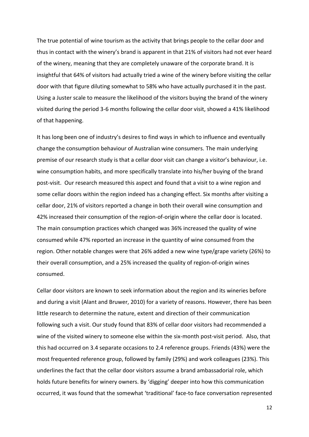The true potential of wine tourism as the activity that brings people to the cellar door and thus in contact with the winery's brand is apparent in that 21% of visitors had not ever heard of the winery, meaning that they are completely unaware of the corporate brand. It is insightful that 64% of visitors had actually tried a wine of the winery before visiting the cellar door with that figure diluting somewhat to 58% who have actually purchased it in the past. Using a Juster scale to measure the likelihood of the visitors buying the brand of the winery visited during the period 3-6 months following the cellar door visit, showed a 41% likelihood of that happening.

It has long been one of industry's desires to find ways in which to influence and eventually change the consumption behaviour of Australian wine consumers. The main underlying premise of our research study is that a cellar door visit can change a visitor's behaviour, i.e. wine consumption habits, and more specifically translate into his/her buying of the brand post-visit. Our research measured this aspect and found that a visit to a wine region and some cellar doors within the region indeed has a changing effect. Six months after visiting a cellar door, 21% of visitors reported a change in both their overall wine consumption and 42% increased their consumption of the region-of-origin where the cellar door is located. The main consumption practices which changed was 36% increased the quality of wine consumed while 47% reported an increase in the quantity of wine consumed from the region. Other notable changes were that 26% added a new wine type/grape variety (26%) to their overall consumption, and a 25% increased the quality of region-of-origin wines consumed.

Cellar door visitors are known to seek information about the region and its wineries before and during a visit (Alant and Bruwer, 2010) for a variety of reasons. However, there has been little research to determine the nature, extent and direction of their communication following such a visit. Our study found that 83% of cellar door visitors had recommended a wine of the visited winery to someone else within the six-month post-visit period. Also, that this had occurred on 3.4 separate occasions to 2.4 reference groups. Friends (43%) were the most frequented reference group, followed by family (29%) and work colleagues (23%). This underlines the fact that the cellar door visitors assume a brand ambassadorial role, which holds future benefits for winery owners. By 'digging' deeper into how this communication occurred, it was found that the somewhat 'traditional' face-to face conversation represented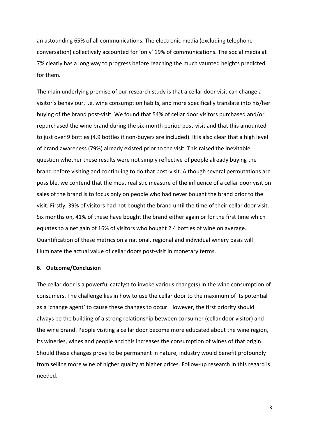an astounding 65% of all communications. The electronic media (excluding telephone conversation) collectively accounted for 'only' 19% of communications. The social media at 7% clearly has a long way to progress before reaching the much vaunted heights predicted for them.

The main underlying premise of our research study is that a cellar door visit can change a visitor's behaviour, i.e. wine consumption habits, and more specifically translate into his/her buying of the brand post-visit. We found that 54% of cellar door visitors purchased and/or repurchased the wine brand during the six-month period post-visit and that this amounted to just over 9 bottles (4.9 bottles if non-buyers are included). It is also clear that a high level of brand awareness (79%) already existed prior to the visit. This raised the inevitable question whether these results were not simply reflective of people already buying the brand before visiting and continuing to do that post-visit. Although several permutations are possible, we contend that the most realistic measure of the influence of a cellar door visit on sales of the brand is to focus only on people who had never bought the brand prior to the visit. Firstly, 39% of visitors had not bought the brand until the time of their cellar door visit. Six months on, 41% of these have bought the brand either again or for the first time which equates to a net gain of 16% of visitors who bought 2.4 bottles of wine on average. Quantification of these metrics on a national, regional and individual winery basis will illuminate the actual value of cellar doors post-visit in monetary terms.

#### **6. Outcome/Conclusion**

The cellar door is a powerful catalyst to invoke various change(s) in the wine consumption of consumers. The challenge lies in how to use the cellar door to the maximum of its potential as a 'change agent' to cause these changes to occur. However, the first priority should always be the building of a strong relationship between consumer (cellar door visitor) and the wine brand. People visiting a cellar door become more educated about the wine region, its wineries, wines and people and this increases the consumption of wines of that origin. Should these changes prove to be permanent in nature, industry would benefit profoundly from selling more wine of higher quality at higher prices. Follow-up research in this regard is needed.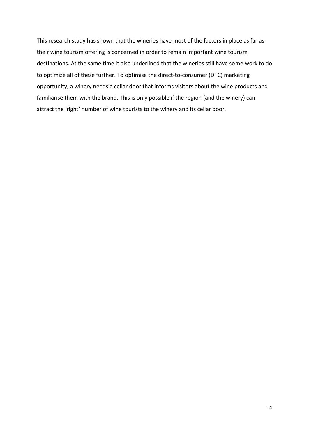This research study has shown that the wineries have most of the factors in place as far as their wine tourism offering is concerned in order to remain important wine tourism destinations. At the same time it also underlined that the wineries still have some work to do to optimize all of these further. To optimise the direct-to-consumer (DTC) marketing opportunity, a winery needs a cellar door that informs visitors about the wine products and familiarise them with the brand. This is only possible if the region (and the winery) can attract the 'right' number of wine tourists to the winery and its cellar door.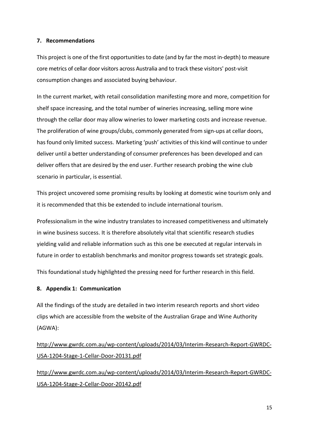#### **7. Recommendations**

This project is one of the first opportunities to date (and by far the most in-depth) to measure core metrics of cellar door visitors across Australia and to track these visitors' post-visit consumption changes and associated buying behaviour.

In the current market, with retail consolidation manifesting more and more, competition for shelf space increasing, and the total number of wineries increasing, selling more wine through the cellar door may allow wineries to lower marketing costs and increase revenue. The proliferation of wine groups/clubs, commonly generated from sign-ups at cellar doors, has found only limited success. Marketing 'push' activities of this kind will continue to under deliver until a better understanding of consumer preferences has been developed and can deliver offers that are desired by the end user. Further research probing the wine club scenario in particular, is essential.

This project uncovered some promising results by looking at domestic wine tourism only and it is recommended that this be extended to include international tourism.

Professionalism in the wine industry translates to increased competitiveness and ultimately in wine business success. It is therefore absolutely vital that scientific research studies yielding valid and reliable information such as this one be executed at regular intervals in future in order to establish benchmarks and monitor progress towards set strategic goals.

This foundational study highlighted the pressing need for further research in this field.

## <span id="page-14-0"></span>**8. Appendix 1: Communication**

All the findings of the study are detailed in two interim research reports and short video clips which are accessible from the website of the Australian Grape and Wine Authority (AGWA):

[http://www.gwrdc.com.au/wp-content/uploads/2014/03/Interim-Research-Report-GWRDC-](http://www.gwrdc.com.au/wp-content/uploads/2014/03/Interim-Research-Report-GWRDC-USA-1204-Stage-1-Cellar-Door-20131.pdf)[USA-1204-Stage-1-Cellar-Door-20131.pdf](http://www.gwrdc.com.au/wp-content/uploads/2014/03/Interim-Research-Report-GWRDC-USA-1204-Stage-1-Cellar-Door-20131.pdf)

[http://www.gwrdc.com.au/wp-content/uploads/2014/03/Interim-Research-Report-GWRDC-](http://www.gwrdc.com.au/wp-content/uploads/2014/03/Interim-Research-Report-GWRDC-USA-1204-Stage-2-Cellar-Door-20142.pdf)[USA-1204-Stage-2-Cellar-Door-20142.pdf](http://www.gwrdc.com.au/wp-content/uploads/2014/03/Interim-Research-Report-GWRDC-USA-1204-Stage-2-Cellar-Door-20142.pdf)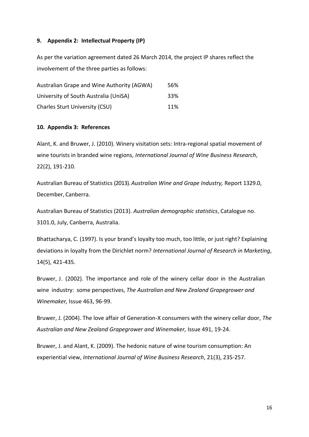#### **9. Appendix 2: Intellectual Property (IP)**

As per the variation agreement dated 26 March 2014, the project IP shares reflect the involvement of the three parties as follows:

| Australian Grape and Wine Authority (AGWA) | 56% |
|--------------------------------------------|-----|
| University of South Australia (UniSA)      | 33% |
| <b>Charles Sturt University (CSU)</b>      | 11% |

#### **10. Appendix 3: References**

Alant, K. and Bruwer, J. (2010). Winery visitation sets: Intra-regional spatial movement of wine tourists in branded wine regions, *International Journal of Wine Business Research*, 22(2), 191-210.

Australian Bureau of Statistics (2013). *Australian Wine and Grape Industry,* Report 1329.0, December, Canberra.

Australian Bureau of Statistics (2013). *Australian demographic statistics*, Catalogue no. 3101.0, July, Canberra, Australia.

Bhattacharya, C. (1997). Is your brand's loyalty too much, too little, or just right? Explaining deviations in loyalty from the Dirichlet norm? *International Journal of Research in Marketing*, 14(5), 421-435.

Bruwer, J. (2002). The importance and role of the winery cellar door in the Australian wine industry: some perspectives, *The Australian and New Zealand Grapegrower and Winemaker,* Issue 463, 96-99.

Bruwer, J. (2004). The love affair of Generation-X consumers with the winery cellar door, *The Australian and New Zealand Grapegrower and Winemaker,* Issue 491, 19-24.

Bruwer, J. and Alant, K. (2009). The hedonic nature of wine tourism consumption: An experiential view, *International Journal of Wine Business Research*, 21(3), 235-257.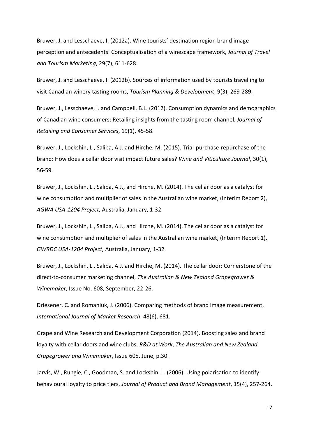Bruwer, J. and Lesschaeve, I. (2012a). Wine tourists' destination region brand image perception and antecedents: Conceptualisation of a winescape framework, *Journal of Travel and Tourism Marketing*, 29(7), 611-628.

Bruwer, J. and Lesschaeve, I. (2012b). Sources of information used by tourists travelling to visit Canadian winery tasting rooms, *Tourism Planning & Development*, 9(3), 269-289.

Bruwer, J., Lesschaeve, I. and Campbell, B.L. (2012). Consumption dynamics and demographics of Canadian wine consumers: Retailing insights from the tasting room channel, *Journal of Retailing and Consumer Services*, 19(1), 45-58.

Bruwer, J., Lockshin, L., Saliba, A.J. and Hirche, M. (2015). Trial-purchase-repurchase of the brand: How does a cellar door visit impact future sales? *Wine and Viticulture Journal*, 30(1), 56-59.

Bruwer, J., Lockshin, L., Saliba, A.J., and Hirche, M. (2014). The cellar door as a catalyst for wine consumption and multiplier of sales in the Australian wine market, (Interim Report 2), *AGWA USA-1204 Project,* Australia, January, 1-32.

Bruwer, J., Lockshin, L., Saliba, A.J., and Hirche, M. (2014). The cellar door as a catalyst for wine consumption and multiplier of sales in the Australian wine market, (Interim Report 1), *GWRDC USA-1204 Project,* Australia, January, 1-32.

Bruwer, J., Lockshin, L., Saliba, A.J. and Hirche, M. (2014). The cellar door: Cornerstone of the direct-to-consumer marketing channel, *The Australian & New Zealand Grapegrower & Winemaker*, Issue No. 608, September, 22-26.

Driesener, C. and Romaniuk, J. (2006). Comparing methods of brand image measurement, *International Journal of Market Research*, 48(6), 681.

Grape and Wine Research and Development Corporation (2014). Boosting sales and brand loyalty with cellar doors and wine clubs, *R&D at Work*, *The Australian and New Zealand Grapegrower and Winemaker*, Issue 605, June, p.30.

Jarvis, W., Rungie, C., Goodman, S. and Lockshin, L. (2006). Using polarisation to identify behavioural loyalty to price tiers, *Journal of Product and Brand Management*, 15(4), 257-264.